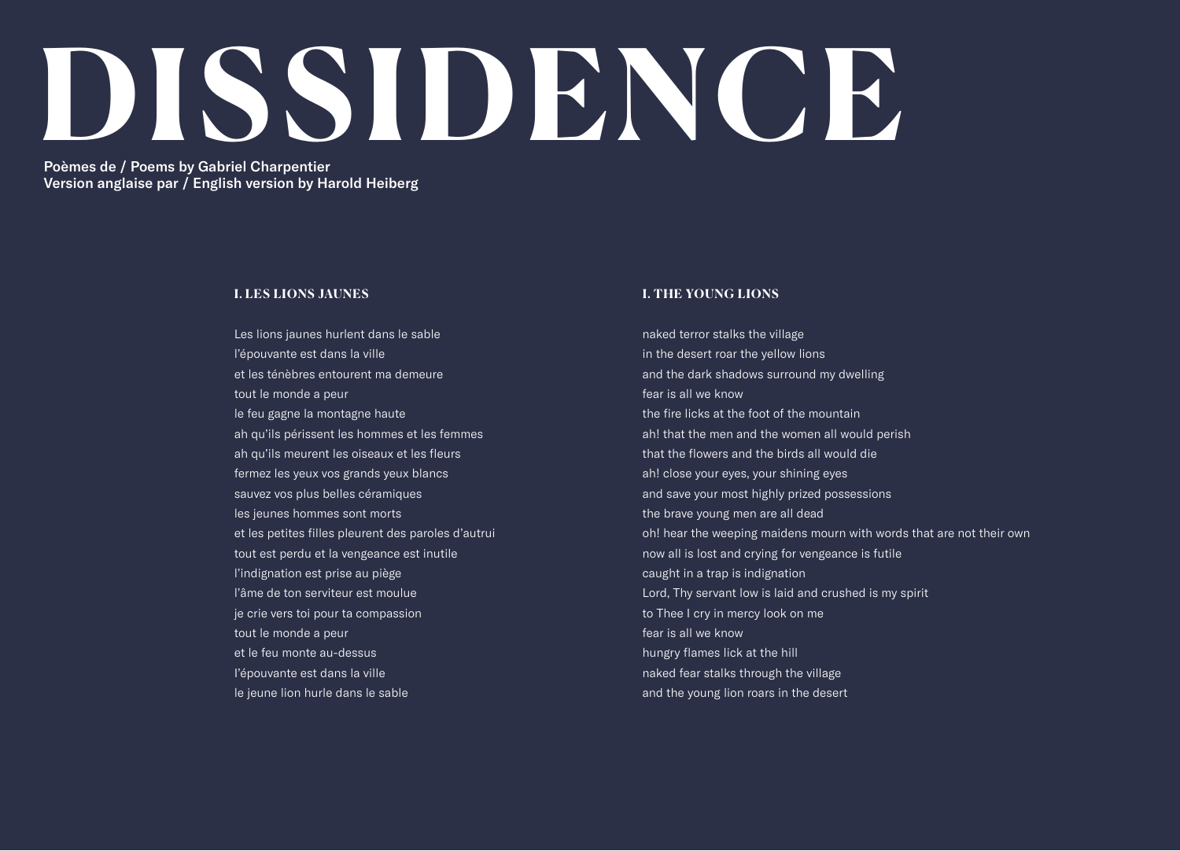# **DISSIDENCE**

Poèmes de / Poems by Gabriel Charpentier Version anglaise par / English version by Harold Heiberg

### **I. LES LIONS JAUNES**

Les lions jaunes hurlent dans le sable l'épouvante est dans la ville et les ténèbres entourent ma demeure tout le monde a peur le feu gagne la montagne haute ah qu'ils périssent les hommes et les femmes ah qu'ils meurent les oiseaux et les fleurs fermez les yeux vos grands yeux blancs sauvez vos plus belles céramiques les jeunes hommes sont morts et les petites filles pleurent des paroles d'autrui tout est perdu et la vengeance est inutile l'indignation est prise au piège l'âme de ton serviteur est moulue je crie vers toi pour ta compassion tout le monde a peur et le feu monte au-dessus I'épouvante est dans la ville le jeune lion hurle dans le sable

### **I. THE YOUNG LIONS**

naked terror stalks the village in the desert roar the yellow lions and the dark shadows surround my dwelling fear is all we know the fire licks at the foot of the mountain ah! that the men and the women all would perish that the flowers and the birds all would die ah! close your eyes, your shining eyes and save your most highly prized possessions the brave young men are all dead oh! hear the weeping maidens mourn with words that are not their own now all is lost and crying for vengeance is futile caught in a trap is indignation Lord, Thy servant low is laid and crushed is my spirit to Thee I cry in mercy look on me fear is all we know hungry flames lick at the hill naked fear stalks through the village and the young lion roars in the desert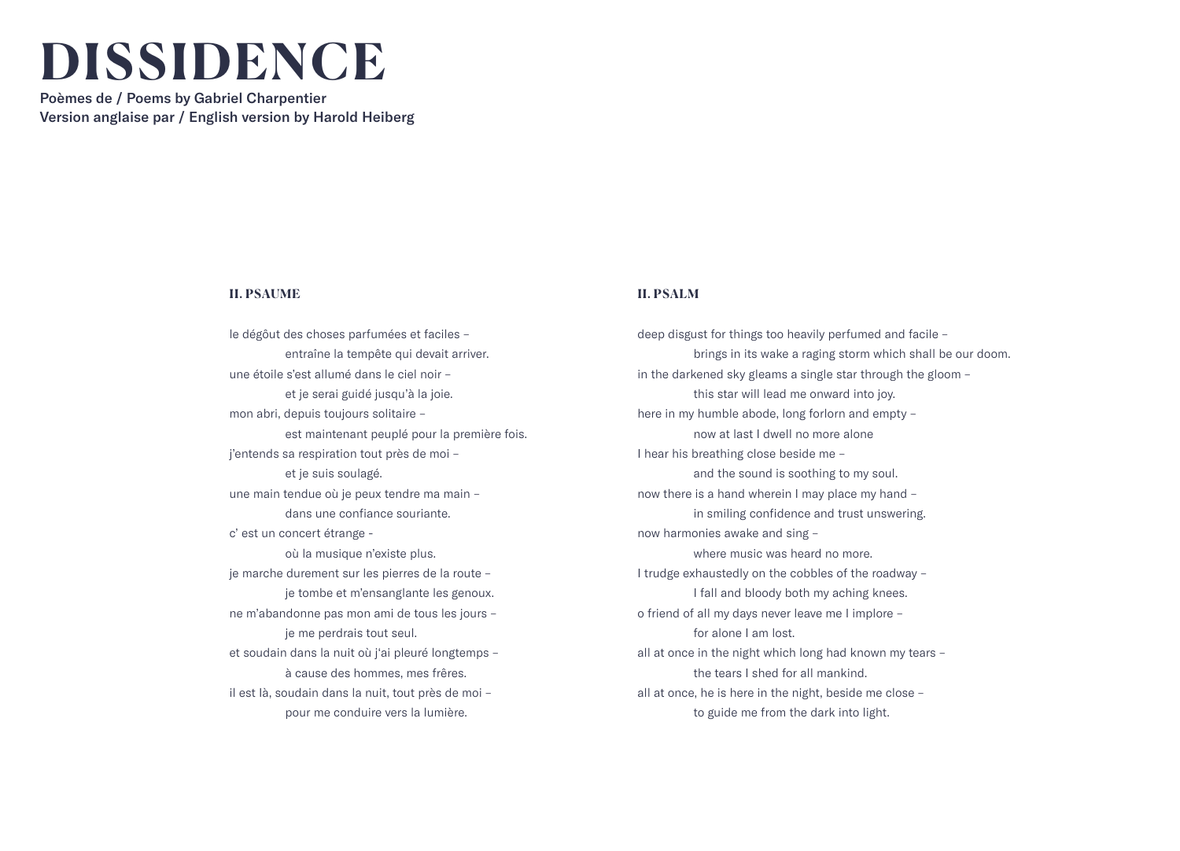# **DISSIDENCE**

Poèmes de / Poems by Gabriel Charpentier Version anglaise par / English version by Harold Heiberg

### **II. PSAUME**

le dégôut des choses parfumées et faciles – entraîne la tempête qui devait arriver. une étoile s'est allumé dans le ciel noir – et je serai guidé jusqu'à la joie. mon abri, depuis toujours solitaire – est maintenant peuplé pour la première fois. j'entends sa respiration tout près de moi – et je suis soulagé. une main tendue où je peux tendre ma main – dans une confiance souriante. c' est un concert étrange où la musique n'existe plus. je marche durement sur les pierres de la route – je tombe et m'ensanglante les genoux. ne m'abandonne pas mon ami de tous les jours – je me perdrais tout seul. et soudain dans la nuit où j'ai pleuré longtemps – à cause des hommes, mes frêres. il est Ià, soudain dans la nuit, tout près de moi – pour me conduire vers la lumière.

# **II. PSALM**

deep disgust for things too heavily perfumed and facile – brings in its wake a raging storm which shall be our doom. in the darkened sky gleams a single star through the gloom – this star will lead me onward into joy. here in my humble abode, long forlorn and empty – now at last I dwell no more alone I hear his breathing close beside me – and the sound is soothing to my soul. now there is a hand wherein I may place my hand – in smiling confidence and trust unswering. now harmonies awake and sing – where music was heard no more. I trudge exhaustedly on the cobbles of the roadway – I fall and bloody both my aching knees. o friend of all my days never leave me I implore – for alone I am lost. all at once in the night which long had known my tears – the tears I shed for all mankind. all at once, he is here in the night, beside me close – to guide me from the dark into light.